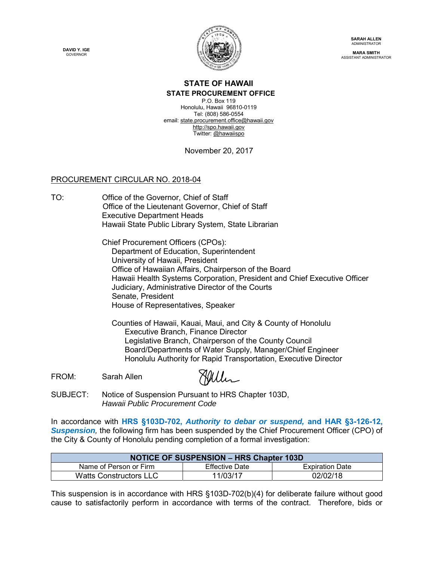**DAVID Y. IGE GOVERNOR** 



**SARAH ALLEN ADMINISTRATOR** 

**MARA SMITH** ASSISTANT ADMINISTRATOR

## **STATE OF HAWAII**

**STATE PROCUREMENT OFFICE** 

P.O. Box 119 Honolulu, Hawaii 96810-0119 Tel: (808) 586-0554 email: state.procurement.office@hawaii.gov http://spo.hawaii.gov Twitter: @hawaiispo

November 20, 2017

## PROCUREMENT CIRCULAR NO. 2018-04

TO: Office of the Governor, Chief of Staff Office of the Lieutenant Governor, Chief of Staff Executive Department Heads Hawaii State Public Library System, State Librarian

> Chief Procurement Officers (CPOs): Department of Education, Superintendent University of Hawaii, President Office of Hawaiian Affairs, Chairperson of the Board Hawaii Health Systems Corporation, President and Chief Executive Officer Judiciary, Administrative Director of the Courts Senate, President House of Representatives, Speaker

Counties of Hawaii, Kauai, Maui, and City & County of Honolulu Executive Branch, Finance Director Legislative Branch, Chairperson of the County Council Board/Departments of Water Supply, Manager/Chief Engineer Honolulu Authority for Rapid Transportation, Executive Director

FROM: Sarah Allen

Willen

SUBJECT: Notice of Suspension Pursuant to HRS Chapter 103D, *Hawaii Public Procurement Code*

In accordance with **HRS §103D-702,** *Authority to debar or suspend,* **and HAR §3-126-12,**  *Suspension,* the following firm has been suspended by the Chief Procurement Officer (CPO) of the City & County of Honolulu pending completion of a formal investigation:

| <b>NOTICE OF SUSPENSION - HRS Chapter 103D</b> |                       |                        |
|------------------------------------------------|-----------------------|------------------------|
| Name of Person or Firm                         | <b>Effective Date</b> | <b>Expiration Date</b> |
| <b>Watts Constructors LLC</b>                  | 11/03/17              | 02/02/18               |

This suspension is in accordance with HRS §103D-702(b)(4) for deliberate failure without good cause to satisfactorily perform in accordance with terms of the contract. Therefore, bids or